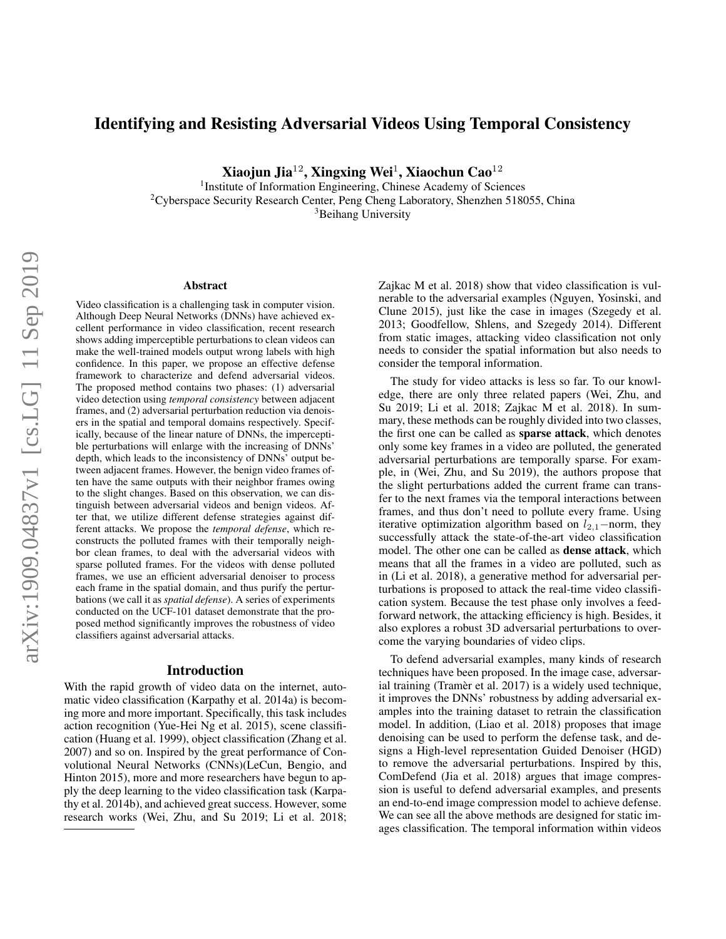# Identifying and Resisting Adversarial Videos Using Temporal Consistency

Xiaojun Jia $^{12}$ , Xingxing Wei $^1$ , Xiaochun Cao $^{12}$ 

<sup>1</sup> Institute of Information Engineering, Chinese Academy of Sciences <sup>2</sup>Cyberspace Security Research Center, Peng Cheng Laboratory, Shenzhen 518055, China <sup>3</sup>Beihang University

#### Abstract

Video classification is a challenging task in computer vision. Although Deep Neural Networks (DNNs) have achieved excellent performance in video classification, recent research shows adding imperceptible perturbations to clean videos can make the well-trained models output wrong labels with high confidence. In this paper, we propose an effective defense framework to characterize and defend adversarial videos. The proposed method contains two phases: (1) adversarial video detection using *temporal consistency* between adjacent frames, and (2) adversarial perturbation reduction via denoisers in the spatial and temporal domains respectively. Specifically, because of the linear nature of DNNs, the imperceptible perturbations will enlarge with the increasing of DNNs' depth, which leads to the inconsistency of DNNs' output between adjacent frames. However, the benign video frames often have the same outputs with their neighbor frames owing to the slight changes. Based on this observation, we can distinguish between adversarial videos and benign videos. After that, we utilize different defense strategies against different attacks. We propose the *temporal defense*, which reconstructs the polluted frames with their temporally neighbor clean frames, to deal with the adversarial videos with sparse polluted frames. For the videos with dense polluted frames, we use an efficient adversarial denoiser to process each frame in the spatial domain, and thus purify the perturbations (we call it as *spatial defense*). A series of experiments conducted on the UCF-101 dataset demonstrate that the proposed method significantly improves the robustness of video classifiers against adversarial attacks.

### Introduction

With the rapid growth of video data on the internet, automatic video classification (Karpathy et al. 2014a) is becoming more and more important. Specifically, this task includes action recognition (Yue-Hei Ng et al. 2015), scene classification (Huang et al. 1999), object classification (Zhang et al. 2007) and so on. Inspired by the great performance of Convolutional Neural Networks (CNNs)(LeCun, Bengio, and Hinton 2015), more and more researchers have begun to apply the deep learning to the video classification task (Karpathy et al. 2014b), and achieved great success. However, some research works (Wei, Zhu, and Su 2019; Li et al. 2018; Zajkac M et al. 2018) show that video classification is vulnerable to the adversarial examples (Nguyen, Yosinski, and Clune 2015), just like the case in images (Szegedy et al. 2013; Goodfellow, Shlens, and Szegedy 2014). Different from static images, attacking video classification not only needs to consider the spatial information but also needs to consider the temporal information.

The study for video attacks is less so far. To our knowledge, there are only three related papers (Wei, Zhu, and Su 2019; Li et al. 2018; Zajkac M et al. 2018). In summary, these methods can be roughly divided into two classes, the first one can be called as sparse attack, which denotes only some key frames in a video are polluted, the generated adversarial perturbations are temporally sparse. For example, in (Wei, Zhu, and Su 2019), the authors propose that the slight perturbations added the current frame can transfer to the next frames via the temporal interactions between frames, and thus don't need to pollute every frame. Using iterative optimization algorithm based on  $l_{2,1}$ −norm, they successfully attack the state-of-the-art video classification model. The other one can be called as dense attack, which means that all the frames in a video are polluted, such as in (Li et al. 2018), a generative method for adversarial perturbations is proposed to attack the real-time video classification system. Because the test phase only involves a feedforward network, the attacking efficiency is high. Besides, it also explores a robust 3D adversarial perturbations to overcome the varying boundaries of video clips.

To defend adversarial examples, many kinds of research techniques have been proposed. In the image case, adversarial training (Tramèr et al. 2017) is a widely used technique, it improves the DNNs' robustness by adding adversarial examples into the training dataset to retrain the classification model. In addition, (Liao et al. 2018) proposes that image denoising can be used to perform the defense task, and designs a High-level representation Guided Denoiser (HGD) to remove the adversarial perturbations. Inspired by this, ComDefend (Jia et al. 2018) argues that image compression is useful to defend adversarial examples, and presents an end-to-end image compression model to achieve defense. We can see all the above methods are designed for static images classification. The temporal information within videos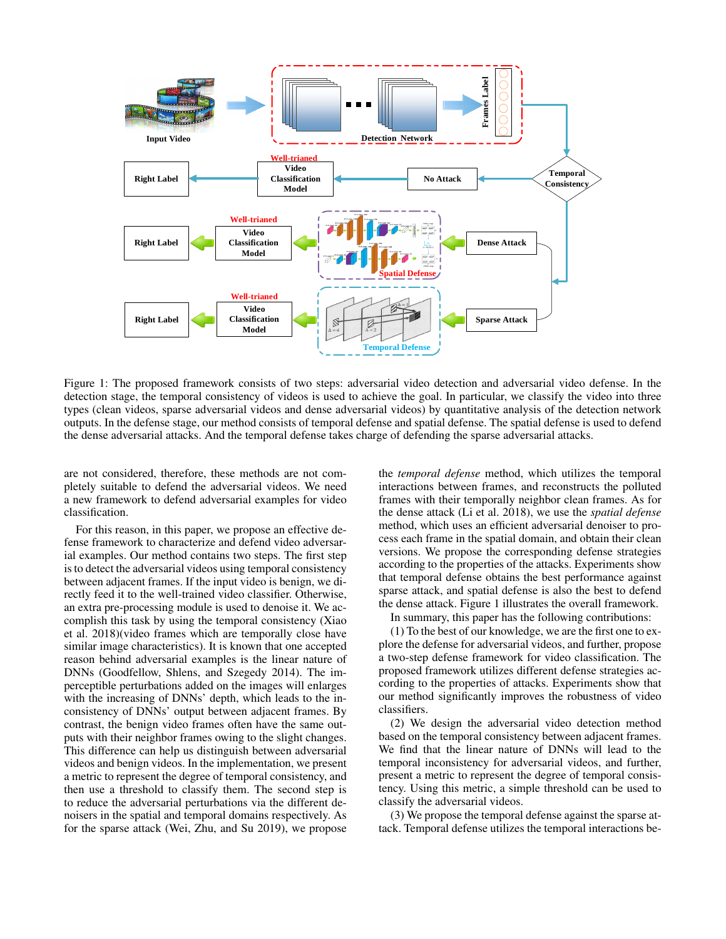

Figure 1: The proposed framework consists of two steps: adversarial video detection and adversarial video defense. In the detection stage, the temporal consistency of videos is used to achieve the goal. In particular, we classify the video into three types (clean videos, sparse adversarial videos and dense adversarial videos) by quantitative analysis of the detection network outputs. In the defense stage, our method consists of temporal defense and spatial defense. The spatial defense is used to defend the dense adversarial attacks. And the temporal defense takes charge of defending the sparse adversarial attacks.

are not considered, therefore, these methods are not completely suitable to defend the adversarial videos. We need a new framework to defend adversarial examples for video classification.

For this reason, in this paper, we propose an effective defense framework to characterize and defend video adversarial examples. Our method contains two steps. The first step is to detect the adversarial videos using temporal consistency between adjacent frames. If the input video is benign, we directly feed it to the well-trained video classifier. Otherwise, an extra pre-processing module is used to denoise it. We accomplish this task by using the temporal consistency (Xiao et al. 2018)(video frames which are temporally close have similar image characteristics). It is known that one accepted reason behind adversarial examples is the linear nature of DNNs (Goodfellow, Shlens, and Szegedy 2014). The imperceptible perturbations added on the images will enlarges with the increasing of DNNs' depth, which leads to the inconsistency of DNNs' output between adjacent frames. By contrast, the benign video frames often have the same outputs with their neighbor frames owing to the slight changes. This difference can help us distinguish between adversarial videos and benign videos. In the implementation, we present a metric to represent the degree of temporal consistency, and then use a threshold to classify them. The second step is to reduce the adversarial perturbations via the different denoisers in the spatial and temporal domains respectively. As for the sparse attack (Wei, Zhu, and Su 2019), we propose

the *temporal defense* method, which utilizes the temporal interactions between frames, and reconstructs the polluted frames with their temporally neighbor clean frames. As for the dense attack (Li et al. 2018), we use the *spatial defense* method, which uses an efficient adversarial denoiser to process each frame in the spatial domain, and obtain their clean versions. We propose the corresponding defense strategies according to the properties of the attacks. Experiments show that temporal defense obtains the best performance against sparse attack, and spatial defense is also the best to defend the dense attack. Figure 1 illustrates the overall framework.

In summary, this paper has the following contributions:

(1) To the best of our knowledge, we are the first one to explore the defense for adversarial videos, and further, propose a two-step defense framework for video classification. The proposed framework utilizes different defense strategies according to the properties of attacks. Experiments show that our method significantly improves the robustness of video classifiers.

(2) We design the adversarial video detection method based on the temporal consistency between adjacent frames. We find that the linear nature of DNNs will lead to the temporal inconsistency for adversarial videos, and further, present a metric to represent the degree of temporal consistency. Using this metric, a simple threshold can be used to classify the adversarial videos.

(3) We propose the temporal defense against the sparse attack. Temporal defense utilizes the temporal interactions be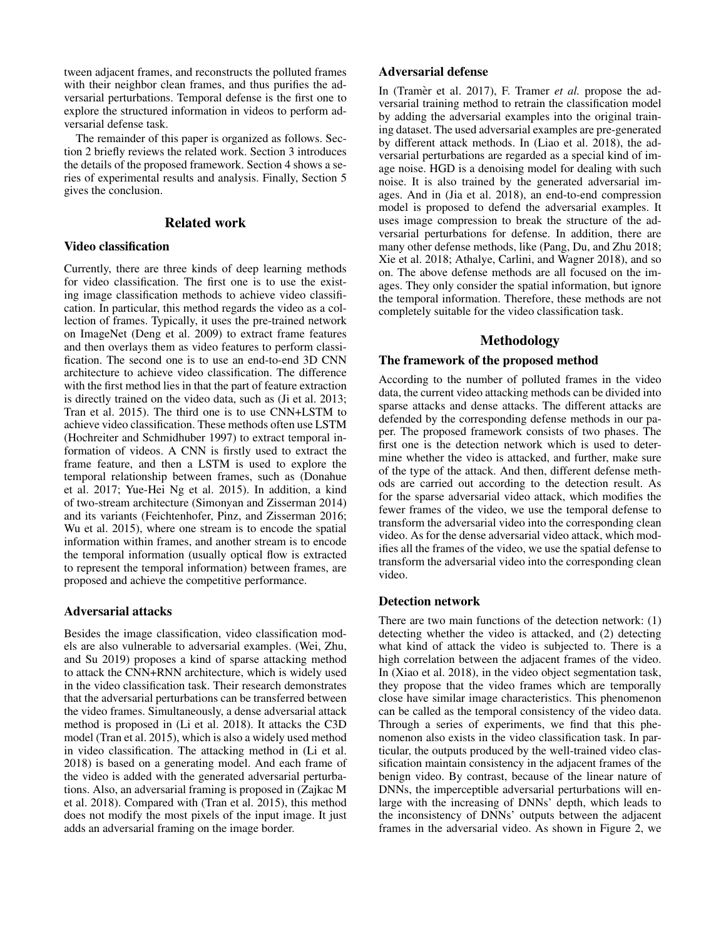tween adjacent frames, and reconstructs the polluted frames with their neighbor clean frames, and thus purifies the adversarial perturbations. Temporal defense is the first one to explore the structured information in videos to perform adversarial defense task.

The remainder of this paper is organized as follows. Section 2 briefly reviews the related work. Section 3 introduces the details of the proposed framework. Section 4 shows a series of experimental results and analysis. Finally, Section 5 gives the conclusion.

# Related work

# Video classification

Currently, there are three kinds of deep learning methods for video classification. The first one is to use the existing image classification methods to achieve video classification. In particular, this method regards the video as a collection of frames. Typically, it uses the pre-trained network on ImageNet (Deng et al. 2009) to extract frame features and then overlays them as video features to perform classification. The second one is to use an end-to-end 3D CNN architecture to achieve video classification. The difference with the first method lies in that the part of feature extraction is directly trained on the video data, such as (Ji et al. 2013; Tran et al. 2015). The third one is to use CNN+LSTM to achieve video classification. These methods often use LSTM (Hochreiter and Schmidhuber 1997) to extract temporal information of videos. A CNN is firstly used to extract the frame feature, and then a LSTM is used to explore the temporal relationship between frames, such as (Donahue et al. 2017; Yue-Hei Ng et al. 2015). In addition, a kind of two-stream architecture (Simonyan and Zisserman 2014) and its variants (Feichtenhofer, Pinz, and Zisserman 2016; Wu et al. 2015), where one stream is to encode the spatial information within frames, and another stream is to encode the temporal information (usually optical flow is extracted to represent the temporal information) between frames, are proposed and achieve the competitive performance.

#### Adversarial attacks

Besides the image classification, video classification models are also vulnerable to adversarial examples. (Wei, Zhu, and Su 2019) proposes a kind of sparse attacking method to attack the CNN+RNN architecture, which is widely used in the video classification task. Their research demonstrates that the adversarial perturbations can be transferred between the video frames. Simultaneously, a dense adversarial attack method is proposed in (Li et al. 2018). It attacks the C3D model (Tran et al. 2015), which is also a widely used method in video classification. The attacking method in (Li et al. 2018) is based on a generating model. And each frame of the video is added with the generated adversarial perturbations. Also, an adversarial framing is proposed in (Zajkac M et al. 2018). Compared with (Tran et al. 2015), this method does not modify the most pixels of the input image. It just adds an adversarial framing on the image border.

# Adversarial defense

In (Tramer et al. 2017), F. Tramer *et al.* propose the adversarial training method to retrain the classification model by adding the adversarial examples into the original training dataset. The used adversarial examples are pre-generated by different attack methods. In (Liao et al. 2018), the adversarial perturbations are regarded as a special kind of image noise. HGD is a denoising model for dealing with such noise. It is also trained by the generated adversarial images. And in (Jia et al. 2018), an end-to-end compression model is proposed to defend the adversarial examples. It uses image compression to break the structure of the adversarial perturbations for defense. In addition, there are many other defense methods, like (Pang, Du, and Zhu 2018; Xie et al. 2018; Athalye, Carlini, and Wagner 2018), and so on. The above defense methods are all focused on the images. They only consider the spatial information, but ignore the temporal information. Therefore, these methods are not completely suitable for the video classification task.

# Methodology

# The framework of the proposed method

According to the number of polluted frames in the video data, the current video attacking methods can be divided into sparse attacks and dense attacks. The different attacks are defended by the corresponding defense methods in our paper. The proposed framework consists of two phases. The first one is the detection network which is used to determine whether the video is attacked, and further, make sure of the type of the attack. And then, different defense methods are carried out according to the detection result. As for the sparse adversarial video attack, which modifies the fewer frames of the video, we use the temporal defense to transform the adversarial video into the corresponding clean video. As for the dense adversarial video attack, which modifies all the frames of the video, we use the spatial defense to transform the adversarial video into the corresponding clean video.

#### Detection network

There are two main functions of the detection network: (1) detecting whether the video is attacked, and (2) detecting what kind of attack the video is subjected to. There is a high correlation between the adjacent frames of the video. In (Xiao et al. 2018), in the video object segmentation task, they propose that the video frames which are temporally close have similar image characteristics. This phenomenon can be called as the temporal consistency of the video data. Through a series of experiments, we find that this phenomenon also exists in the video classification task. In particular, the outputs produced by the well-trained video classification maintain consistency in the adjacent frames of the benign video. By contrast, because of the linear nature of DNNs, the imperceptible adversarial perturbations will enlarge with the increasing of DNNs' depth, which leads to the inconsistency of DNNs' outputs between the adjacent frames in the adversarial video. As shown in Figure 2, we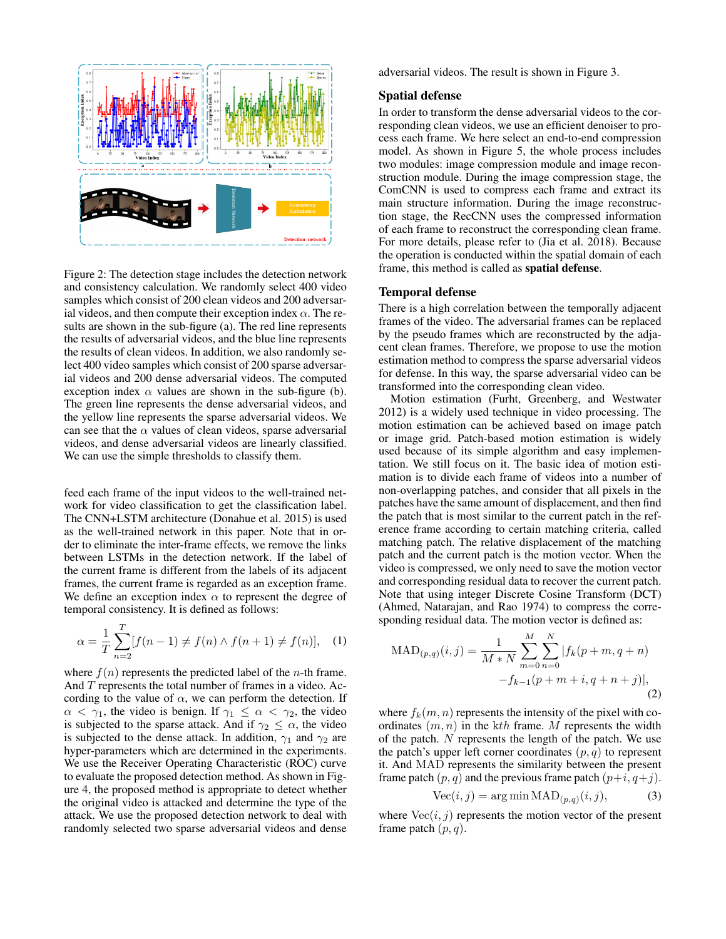

Figure 2: The detection stage includes the detection network and consistency calculation. We randomly select 400 video samples which consist of 200 clean videos and 200 adversarial videos, and then compute their exception index  $\alpha$ . The results are shown in the sub-figure (a). The red line represents the results of adversarial videos, and the blue line represents the results of clean videos. In addition, we also randomly select 400 video samples which consist of 200 sparse adversarial videos and 200 dense adversarial videos. The computed exception index  $\alpha$  values are shown in the sub-figure (b). The green line represents the dense adversarial videos, and the yellow line represents the sparse adversarial videos. We can see that the  $\alpha$  values of clean videos, sparse adversarial videos, and dense adversarial videos are linearly classified. We can use the simple thresholds to classify them.

feed each frame of the input videos to the well-trained network for video classification to get the classification label. The CNN+LSTM architecture (Donahue et al. 2015) is used as the well-trained network in this paper. Note that in order to eliminate the inter-frame effects, we remove the links between LSTMs in the detection network. If the label of the current frame is different from the labels of its adjacent frames, the current frame is regarded as an exception frame. We define an exception index  $\alpha$  to represent the degree of temporal consistency. It is defined as follows:

$$
\alpha = \frac{1}{T} \sum_{n=2}^{T} [f(n-1) \neq f(n) \land f(n+1) \neq f(n)], \quad (1)
$$

where  $f(n)$  represents the predicted label of the *n*-th frame. And  $T$  represents the total number of frames in a video. According to the value of  $\alpha$ , we can perform the detection. If  $\alpha < \gamma_1$ , the video is benign. If  $\gamma_1 \leq \alpha < \gamma_2$ , the video is subjected to the sparse attack. And if  $\gamma_2 \leq \alpha$ , the video is subjected to the dense attack. In addition,  $\gamma_1$  and  $\gamma_2$  are hyper-parameters which are determined in the experiments. We use the Receiver Operating Characteristic (ROC) curve to evaluate the proposed detection method. As shown in Figure 4, the proposed method is appropriate to detect whether the original video is attacked and determine the type of the attack. We use the proposed detection network to deal with randomly selected two sparse adversarial videos and dense adversarial videos. The result is shown in Figure 3.

#### Spatial defense

In order to transform the dense adversarial videos to the corresponding clean videos, we use an efficient denoiser to process each frame. We here select an end-to-end compression model. As shown in Figure 5, the whole process includes two modules: image compression module and image reconstruction module. During the image compression stage, the ComCNN is used to compress each frame and extract its main structure information. During the image reconstruction stage, the RecCNN uses the compressed information of each frame to reconstruct the corresponding clean frame. For more details, please refer to (Jia et al. 2018). Because the operation is conducted within the spatial domain of each frame, this method is called as spatial defense.

# Temporal defense

There is a high correlation between the temporally adjacent frames of the video. The adversarial frames can be replaced by the pseudo frames which are reconstructed by the adjacent clean frames. Therefore, we propose to use the motion estimation method to compress the sparse adversarial videos for defense. In this way, the sparse adversarial video can be transformed into the corresponding clean video.

Motion estimation (Furht, Greenberg, and Westwater 2012) is a widely used technique in video processing. The motion estimation can be achieved based on image patch or image grid. Patch-based motion estimation is widely used because of its simple algorithm and easy implementation. We still focus on it. The basic idea of motion estimation is to divide each frame of videos into a number of non-overlapping patches, and consider that all pixels in the patches have the same amount of displacement, and then find the patch that is most similar to the current patch in the reference frame according to certain matching criteria, called matching patch. The relative displacement of the matching patch and the current patch is the motion vector. When the video is compressed, we only need to save the motion vector and corresponding residual data to recover the current patch. Note that using integer Discrete Cosine Transform (DCT) (Ahmed, Natarajan, and Rao 1974) to compress the corresponding residual data. The motion vector is defined as:

$$
MAD_{(p,q)}(i,j) = \frac{1}{M*N} \sum_{m=0}^{M} \sum_{n=0}^{N} |f_k(p+m, q+n) - f_{k-1}(p+m+i, q+n+j)|,
$$
\n(2)

where  $f_k(m, n)$  represents the intensity of the pixel with coordinates  $(m, n)$  in the kth frame. M represents the width of the patch. N represents the length of the patch. We use the patch's upper left corner coordinates  $(p, q)$  to represent it. And MAD represents the similarity between the present frame patch  $(p, q)$  and the previous frame patch  $(p+i, q+j)$ .

$$
Vec(i, j) = \arg\min \text{MAD}_{(p, q)}(i, j),\tag{3}
$$

where  $Vec(i, j)$  represents the motion vector of the present frame patch  $(p, q)$ .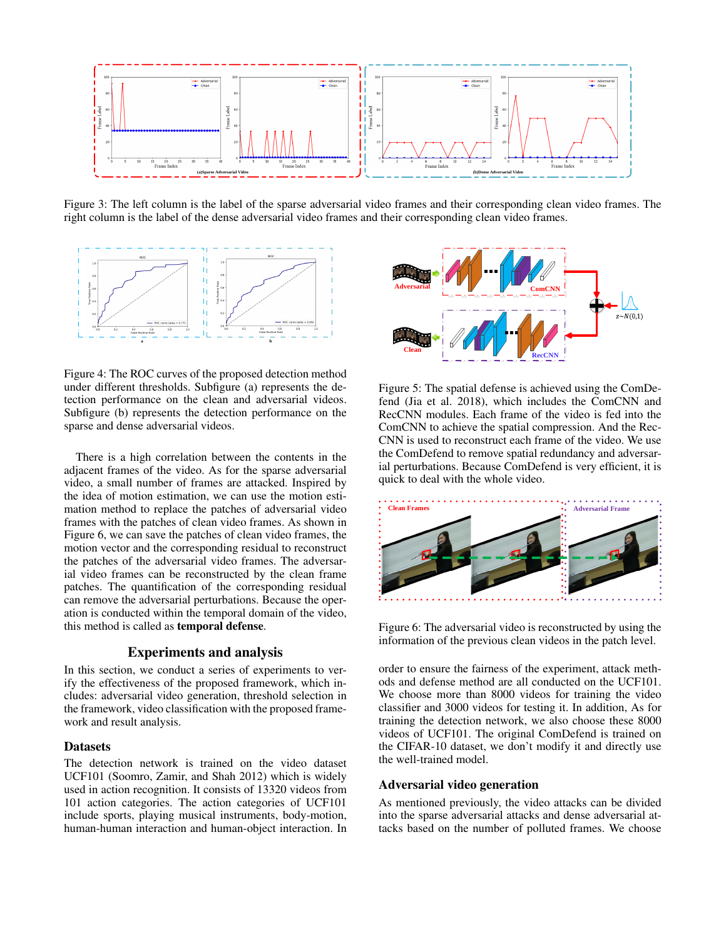

Figure 3: The left column is the label of the sparse adversarial video frames and their corresponding clean video frames. The right column is the label of the dense adversarial video frames and their corresponding clean video frames.



Figure 4: The ROC curves of the proposed detection method under different thresholds. Subfigure (a) represents the detection performance on the clean and adversarial videos. Subfigure (b) represents the detection performance on the sparse and dense adversarial videos.

There is a high correlation between the contents in the adjacent frames of the video. As for the sparse adversarial video, a small number of frames are attacked. Inspired by the idea of motion estimation, we can use the motion estimation method to replace the patches of adversarial video frames with the patches of clean video frames. As shown in Figure 6, we can save the patches of clean video frames, the motion vector and the corresponding residual to reconstruct the patches of the adversarial video frames. The adversarial video frames can be reconstructed by the clean frame patches. The quantification of the corresponding residual can remove the adversarial perturbations. Because the operation is conducted within the temporal domain of the video, this method is called as temporal defense.

### Experiments and analysis

In this section, we conduct a series of experiments to verify the effectiveness of the proposed framework, which includes: adversarial video generation, threshold selection in the framework, video classification with the proposed framework and result analysis.

# **Datasets**

The detection network is trained on the video dataset UCF101 (Soomro, Zamir, and Shah 2012) which is widely used in action recognition. It consists of 13320 videos from 101 action categories. The action categories of UCF101 include sports, playing musical instruments, body-motion, human-human interaction and human-object interaction. In



Figure 5: The spatial defense is achieved using the ComDefend (Jia et al. 2018), which includes the ComCNN and RecCNN modules. Each frame of the video is fed into the ComCNN to achieve the spatial compression. And the Rec-CNN is used to reconstruct each frame of the video. We use the ComDefend to remove spatial redundancy and adversarial perturbations. Because ComDefend is very efficient, it is quick to deal with the whole video.



Figure 6: The adversarial video is reconstructed by using the information of the previous clean videos in the patch level.

order to ensure the fairness of the experiment, attack methods and defense method are all conducted on the UCF101. We choose more than 8000 videos for training the video classifier and 3000 videos for testing it. In addition, As for training the detection network, we also choose these 8000 videos of UCF101. The original ComDefend is trained on the CIFAR-10 dataset, we don't modify it and directly use the well-trained model.

#### Adversarial video generation

As mentioned previously, the video attacks can be divided into the sparse adversarial attacks and dense adversarial attacks based on the number of polluted frames. We choose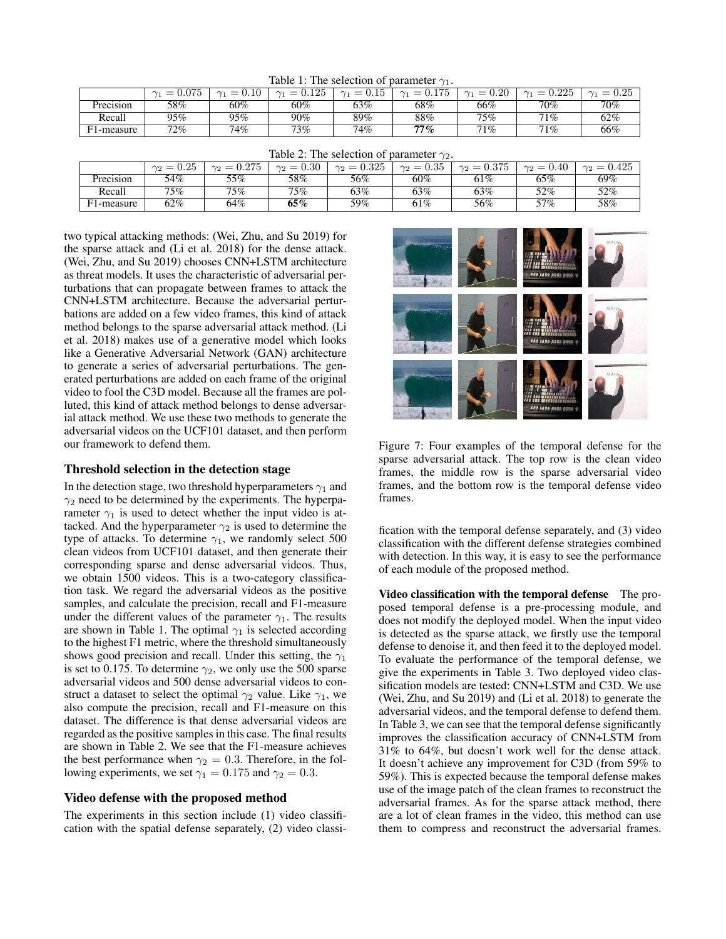Table 1: The selection of parameter  $\gamma_1$ .

|           | 075<br>J.V I L<br>_ | 0.10<br>$=$<br>$\sim$ | 0.125<br>$\bigwedge$<br>$\overline{\phantom{0}}$ | $\bigwedge$<br>1. LU<br>_ | 1.7 <sub>5</sub><br>$\sim$<br>U.II) | ${0.20}$<br>__ | ∩ วว⊧<br>—<br>$\bigwedge$<br>U.ZZC | 0.25<br>$\bigwedge$<br>_ |
|-----------|---------------------|-----------------------|--------------------------------------------------|---------------------------|-------------------------------------|----------------|------------------------------------|--------------------------|
| Precision | 58%                 | 60%                   | 60%                                              | 63%                       | 68%                                 | 66%            | 70%                                | 70%                      |
| Recall    | $95\%$              | 95%                   | $90\%$                                           | 89%                       | $88\%$                              | 75%            | 71%                                | 62%                      |
| 1-measure | $72\%$              | 74%                   | 73%                                              | 74%                       | 77%                                 | 71%            | 71%                                | 66%                      |

| Table 2: The selection of parameter $\gamma_2$ . |  |                                                                                              |  |  |  |  |
|--------------------------------------------------|--|----------------------------------------------------------------------------------------------|--|--|--|--|
|                                                  |  | $\gamma_2 = 0.275$ $\gamma_2 = 0.30$ $\gamma_2 = 0.325$ $\gamma_2 = 0.35$ $\gamma_2 = 0.375$ |  |  |  |  |

|            | ີດ≍<br>$\overline{\phantom{a}}$<br>$\sim$<br>U.ZU | $\overline{0}$<br>$\sim$<br>$\overline{\phantom{a}}$<br>U.∠TJ | $_{0.30}$<br>$\overline{\phantom{a}}$<br>$\gamma_{\Omega}$<br>_ | 0.325<br>$\gamma_0$<br>∸ | 25<br>$\sim$<br>$\overline{\phantom{a}}$<br>∪.ง⊍ | ${0.375}$<br>$\overline{\phantom{a}}$<br>$\gamma_{\Omega}$ | 0.40<br>$=$<br>$\gamma$ | 0.425<br>$\sim$ |
|------------|---------------------------------------------------|---------------------------------------------------------------|-----------------------------------------------------------------|--------------------------|--------------------------------------------------|------------------------------------------------------------|-------------------------|-----------------|
| Precision  | 54%                                               | 55%                                                           | 58%                                                             | 56%                      | 60%                                              | 61%                                                        | 65%                     | 69%             |
| Recall     | 75%                                               | 75%                                                           | $75\%$                                                          | 63%                      | 63%                                              | 63%                                                        | 52%                     | 52%             |
| F1-measure | 62%                                               | 64%                                                           | 65%                                                             | 59%                      | 61%                                              | 56%                                                        | $57\%$                  | 58%             |

two typical attacking methods: (Wei, Zhu, and Su 2019) for the sparse attack and (Li et al. 2018) for the dense attack. (Wei, Zhu, and Su 2019) chooses CNN+LSTM architecture as threat models. It uses the characteristic of adversarial perturbations that can propagate between frames to attack the CNN+LSTM architecture. Because the adversarial perturbations are added on a few video frames, this kind of attack method belongs to the sparse adversarial attack method. (Li et al. 2018) makes use of a generative model which looks like a Generative Adversarial Network (GAN) architecture to generate a series of adversarial perturbations. The generated perturbations are added on each frame of the original video to fool the C3D model. Because all the frames are polluted, this kind of attack method belongs to dense adversarial attack method. We use these two methods to generate the adversarial videos on the UCF101 dataset, and then perform our framework to defend them.

# Threshold selection in the detection stage

In the detection stage, two threshold hyperparameters  $\gamma_1$  and  $\gamma_2$  need to be determined by the experiments. The hyperparameter  $\gamma_1$  is used to detect whether the input video is attacked. And the hyperparameter  $\gamma_2$  is used to determine the type of attacks. To determine  $\gamma_1$ , we randomly select 500 clean videos from UCF101 dataset, and then generate their corresponding sparse and dense adversarial videos. Thus, we obtain 1500 videos. This is a two-category classification task. We regard the adversarial videos as the positive samples, and calculate the precision, recall and F1-measure under the different values of the parameter  $\gamma_1$ . The results are shown in Table 1. The optimal  $\gamma_1$  is selected according to the highest F1 metric, where the threshold simultaneously shows good precision and recall. Under this setting, the  $\gamma_1$ is set to 0.175. To determine  $\gamma_2$ , we only use the 500 sparse adversarial videos and 500 dense adversarial videos to construct a dataset to select the optimal  $\gamma_2$  value. Like  $\gamma_1$ , we also compute the precision, recall and F1-measure on this dataset. The difference is that dense adversarial videos are regarded as the positive samples in this case. The final results are shown in Table 2. We see that the F1-measure achieves the best performance when  $\gamma_2 = 0.3$ . Therefore, in the following experiments, we set  $\gamma_1 = 0.175$  and  $\gamma_2 = 0.3$ .

# Video defense with the proposed method

The experiments in this section include (1) video classification with the spatial defense separately, (2) video classi-



Figure 7: Four examples of the temporal defense for the sparse adversarial attack. The top row is the clean video frames, the middle row is the sparse adversarial video frames, and the bottom row is the temporal defense video frames.

fication with the temporal defense separately, and (3) video classification with the different defense strategies combined with detection. In this way, it is easy to see the performance of each module of the proposed method.

Video classification with the temporal defense The proposed temporal defense is a pre-processing module, and does not modify the deployed model. When the input video is detected as the sparse attack, we firstly use the temporal defense to denoise it, and then feed it to the deployed model. To evaluate the performance of the temporal defense, we give the experiments in Table 3. Two deployed video classification models are tested: CNN+LSTM and C3D. We use (Wei, Zhu, and Su 2019) and (Li et al. 2018) to generate the adversarial videos, and the temporal defense to defend them. In Table 3, we can see that the temporal defense significantly improves the classification accuracy of CNN+LSTM from 31% to 64%, but doesn't work well for the dense attack. It doesn't achieve any improvement for C3D (from 59% to 59%). This is expected because the temporal defense makes use of the image patch of the clean frames to reconstruct the adversarial frames. As for the sparse attack method, there are a lot of clean frames in the video, this method can use them to compress and reconstruct the adversarial frames.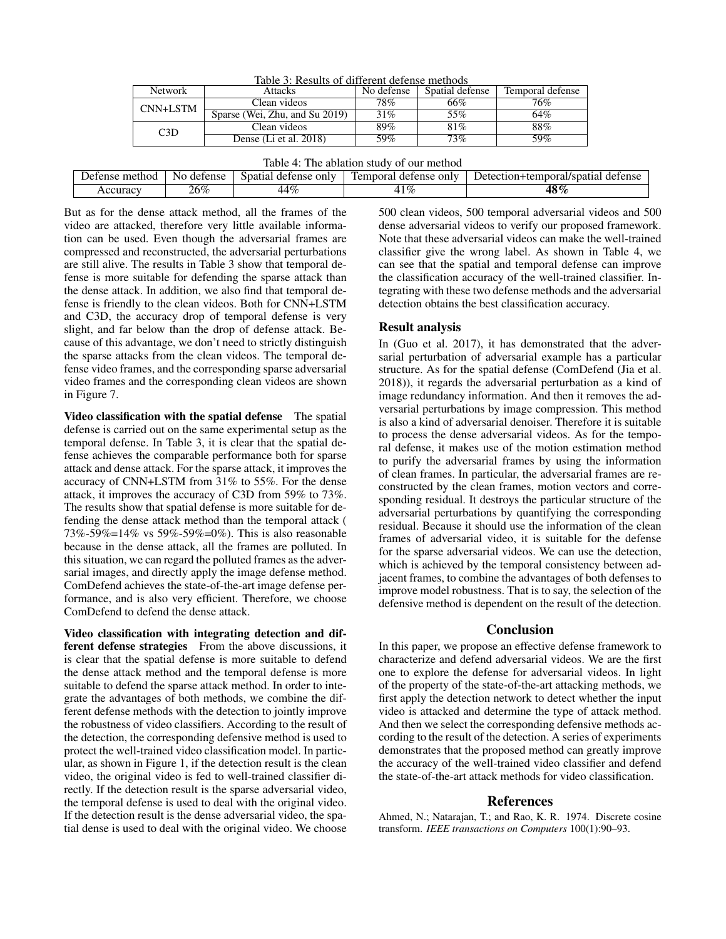| Table 3: Results of different defense methods |                                |            |                 |                  |  |  |
|-----------------------------------------------|--------------------------------|------------|-----------------|------------------|--|--|
| <b>Network</b>                                | <b>Attacks</b>                 | No defense | Spatial defense | Temporal defense |  |  |
| CNN+LSTM                                      | Clean videos                   | 78%        | 66%             | 76%              |  |  |
|                                               | Sparse (Wei, Zhu, and Su 2019) | 31%        | 55%             | 64%              |  |  |
| C <sub>3</sub> D                              | Clean videos                   | 89%        | 81%             | 88%              |  |  |
|                                               | Dense (Li et al. 2018)         | 59%        | $73\%$          | 59%              |  |  |

| method<br>Jefense | defense<br>Nο | only<br>spatial<br>, defense | Tempora<br>defense only | Jefection+<br><u>ttemnoral</u><br>defense<br>J/spatia' |
|-------------------|---------------|------------------------------|-------------------------|--------------------------------------------------------|
| Accuracy.         | $26\%$        | $1\%$<br>44                  | $1\%$                   | $48\sigma$<br>'%                                       |

But as for the dense attack method, all the frames of the video are attacked, therefore very little available information can be used. Even though the adversarial frames are compressed and reconstructed, the adversarial perturbations are still alive. The results in Table 3 show that temporal defense is more suitable for defending the sparse attack than the dense attack. In addition, we also find that temporal defense is friendly to the clean videos. Both for CNN+LSTM and C3D, the accuracy drop of temporal defense is very slight, and far below than the drop of defense attack. Because of this advantage, we don't need to strictly distinguish the sparse attacks from the clean videos. The temporal defense video frames, and the corresponding sparse adversarial video frames and the corresponding clean videos are shown in Figure 7.

Video classification with the spatial defense The spatial defense is carried out on the same experimental setup as the temporal defense. In Table 3, it is clear that the spatial defense achieves the comparable performance both for sparse attack and dense attack. For the sparse attack, it improves the accuracy of CNN+LSTM from 31% to 55%. For the dense attack, it improves the accuracy of C3D from 59% to 73%. The results show that spatial defense is more suitable for defending the dense attack method than the temporal attack ( 73%-59%=14% vs 59%-59%=0%). This is also reasonable because in the dense attack, all the frames are polluted. In this situation, we can regard the polluted frames as the adversarial images, and directly apply the image defense method. ComDefend achieves the state-of-the-art image defense performance, and is also very efficient. Therefore, we choose ComDefend to defend the dense attack.

Video classification with integrating detection and different defense strategies From the above discussions, it is clear that the spatial defense is more suitable to defend the dense attack method and the temporal defense is more suitable to defend the sparse attack method. In order to integrate the advantages of both methods, we combine the different defense methods with the detection to jointly improve the robustness of video classifiers. According to the result of the detection, the corresponding defensive method is used to protect the well-trained video classification model. In particular, as shown in Figure 1, if the detection result is the clean video, the original video is fed to well-trained classifier directly. If the detection result is the sparse adversarial video, the temporal defense is used to deal with the original video. If the detection result is the dense adversarial video, the spatial dense is used to deal with the original video. We choose

500 clean videos, 500 temporal adversarial videos and 500 dense adversarial videos to verify our proposed framework. Note that these adversarial videos can make the well-trained classifier give the wrong label. As shown in Table 4, we can see that the spatial and temporal defense can improve the classification accuracy of the well-trained classifier. Integrating with these two defense methods and the adversarial detection obtains the best classification accuracy.

### Result analysis

In (Guo et al. 2017), it has demonstrated that the adversarial perturbation of adversarial example has a particular structure. As for the spatial defense (ComDefend (Jia et al. 2018)), it regards the adversarial perturbation as a kind of image redundancy information. And then it removes the adversarial perturbations by image compression. This method is also a kind of adversarial denoiser. Therefore it is suitable to process the dense adversarial videos. As for the temporal defense, it makes use of the motion estimation method to purify the adversarial frames by using the information of clean frames. In particular, the adversarial frames are reconstructed by the clean frames, motion vectors and corresponding residual. It destroys the particular structure of the adversarial perturbations by quantifying the corresponding residual. Because it should use the information of the clean frames of adversarial video, it is suitable for the defense for the sparse adversarial videos. We can use the detection, which is achieved by the temporal consistency between adjacent frames, to combine the advantages of both defenses to improve model robustness. That is to say, the selection of the defensive method is dependent on the result of the detection.

# Conclusion

In this paper, we propose an effective defense framework to characterize and defend adversarial videos. We are the first one to explore the defense for adversarial videos. In light of the property of the state-of-the-art attacking methods, we first apply the detection network to detect whether the input video is attacked and determine the type of attack method. And then we select the corresponding defensive methods according to the result of the detection. A series of experiments demonstrates that the proposed method can greatly improve the accuracy of the well-trained video classifier and defend the state-of-the-art attack methods for video classification.

### References

Ahmed, N.; Natarajan, T.; and Rao, K. R. 1974. Discrete cosine transform. *IEEE transactions on Computers* 100(1):90–93.